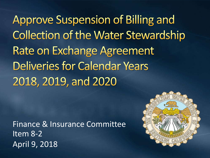**Approve Suspension of Billing and Collection of the Water Stewardship Rate on Exchange Agreement Deliveries for Calendar Years** 2018, 2019, and 2020

Finance & Insurance Committee Item 8-2 April 9, 2018

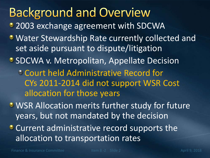**Background and Overview** • 2003 exchange agreement with SDCWA **Water Stewardship Rate currently collected and** set aside pursuant to dispute/litigation **• SDCWA v. Metropolitan, Appellate Decision** Court held Administrative Record for CYs 2011-2014 did not support WSR Cost allocation for those years WSR Allocation merits further study for future years, but not mandated by the decision **Current administrative record supports the** allocation to transportation rates

Finance & Insurance Committee The Item 8 -2 Slide 2 April 9, 2018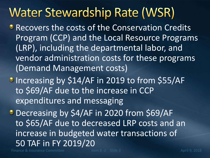# **Water Stewardship Rate (WSR)**

- **Recovers the costs of the Conservation Credits** Program (CCP) and the Local Resource Programs (LRP), including the departmental labor, and vendor administration costs for these programs (Demand Management costs)
- **Increasing by \$14/AF in 2019 to from \$55/AF** to \$69/AF due to the increase in CCP expenditures and messaging

**Decreasing by \$4/AF in 2020 from \$69/AF** to \$65/AF due to decreased LRP costs and an increase in budgeted water transactions of 50 TAF in FY 2019/20

Finance & Insurance Committee Item 8 -2 Slide 3 April 9, 2018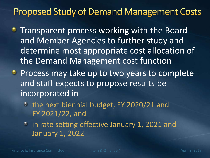### **Proposed Study of Demand Management Costs**

- **Transparent process working with the Board** and Member Agencies to further study and determine most appropriate cost allocation of the Demand Management cost function
- **Process may take up to two years to complete** and staff expects to propose results be incorporated in
	- the next biennial budget, FY 2020/21 and FY 2021/22, and
	- <sup>o</sup> in rate setting effective January 1, 2021 and January 1, 2022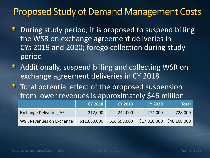### **Proposed Study of Demand Management Costs**

- During study period, it is proposed to suspend billing ٠ the WSR on exchange agreement deliveries in CYs 2019 and 2020; forego collection during study period
- Additionally, suspend billing and collecting WSR on exchange agreement deliveries in CY 2018
- Total potential effect of the proposed suspension from lower revenues is approximately \$46 million

|                                | <b>CY 2018</b> | <b>CY 2019</b> | CY 2020 1    | <b>Total</b> |
|--------------------------------|----------------|----------------|--------------|--------------|
| <b>Exchange Deliveries, AF</b> | 212,000        | 242,000        | 274,000      | 728,000      |
| WSR Revenues on Exchange       | \$11,660,000   | \$16,698,000   | \$17,810,000 | \$46,168,000 |

Finance & Insurance Committee Item 8 -2 Slide 5 April 9, 2018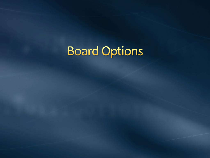# **Board Options**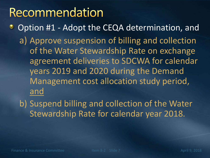## Recommendation

Option #1 - Adopt the CEQA determination, and ٠ a) Approve suspension of billing and collection of the Water Stewardship Rate on exchange agreement deliveries to SDCWA for calendar years 2019 and 2020 during the Demand Management cost allocation study period, and

b) Suspend billing and collection of the Water Stewardship Rate for calendar year 2018.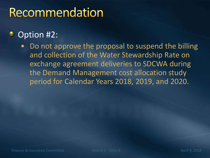## Recommendation

#### Option #2: ٠

• Do not approve the proposal to suspend the billing and collection of the Water Stewardship Rate on exchange agreement deliveries to SDCWA during the Demand Management cost allocation study period for Calendar Years 2018, 2019, and 2020.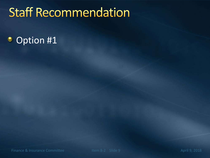# **Staff Recommendation**

#### Option #1 ۰